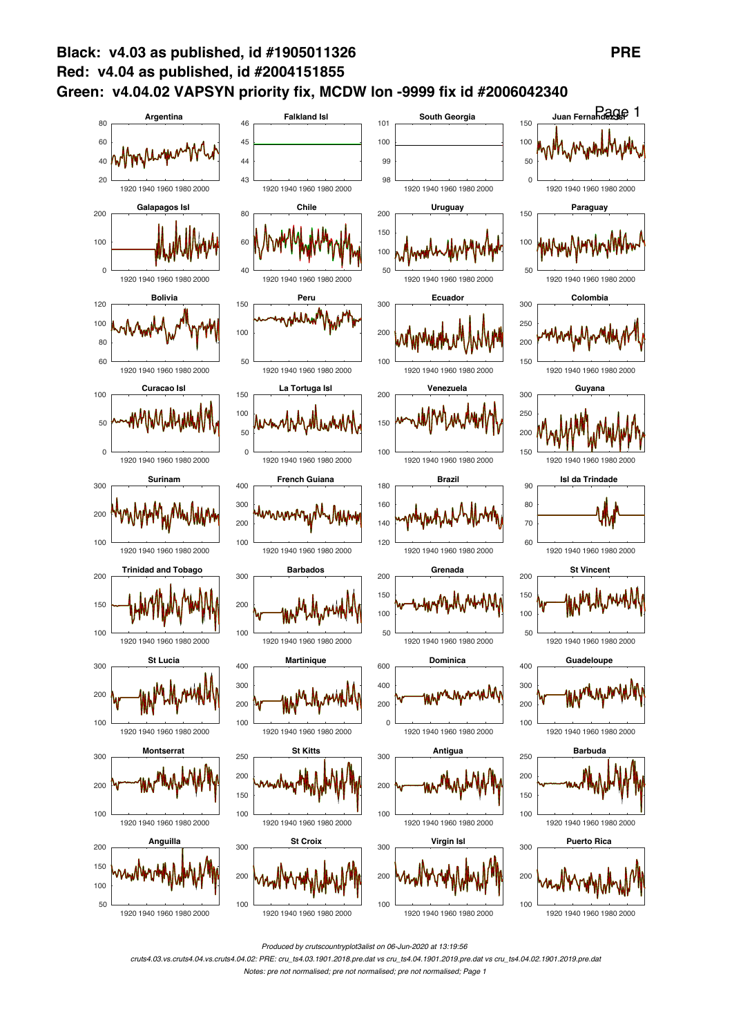

Produced by crutscountryplot3alist on 06-Jun-2020 at 13:19:56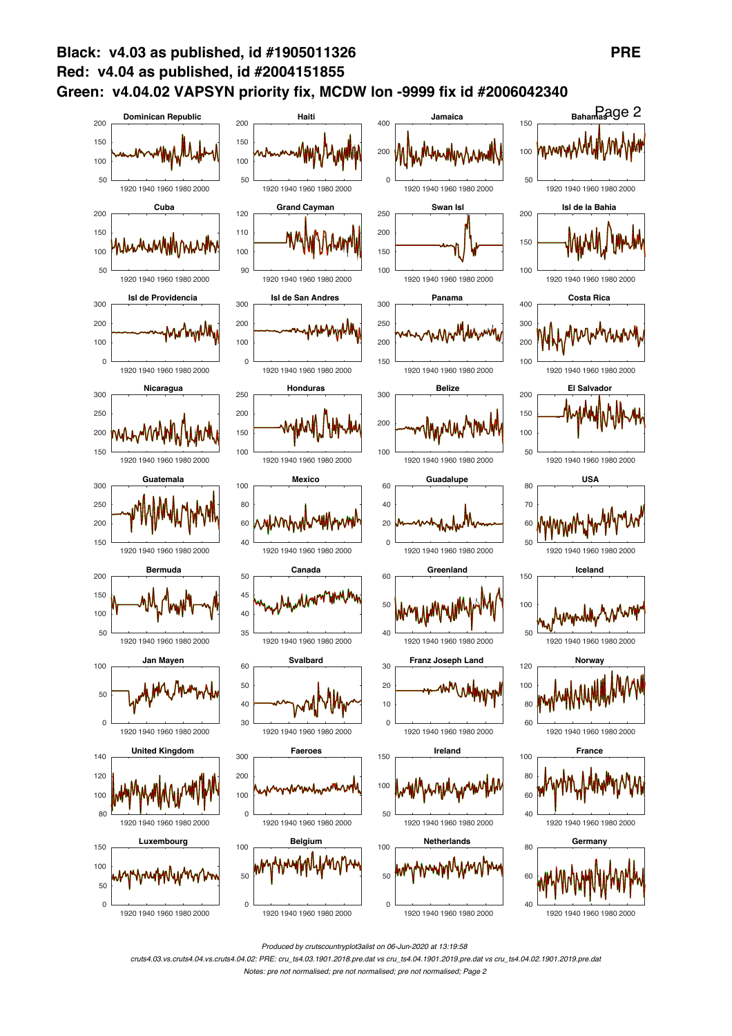

Produced by crutscountryplot3alist on 06-Jun-2020 at 13:19:58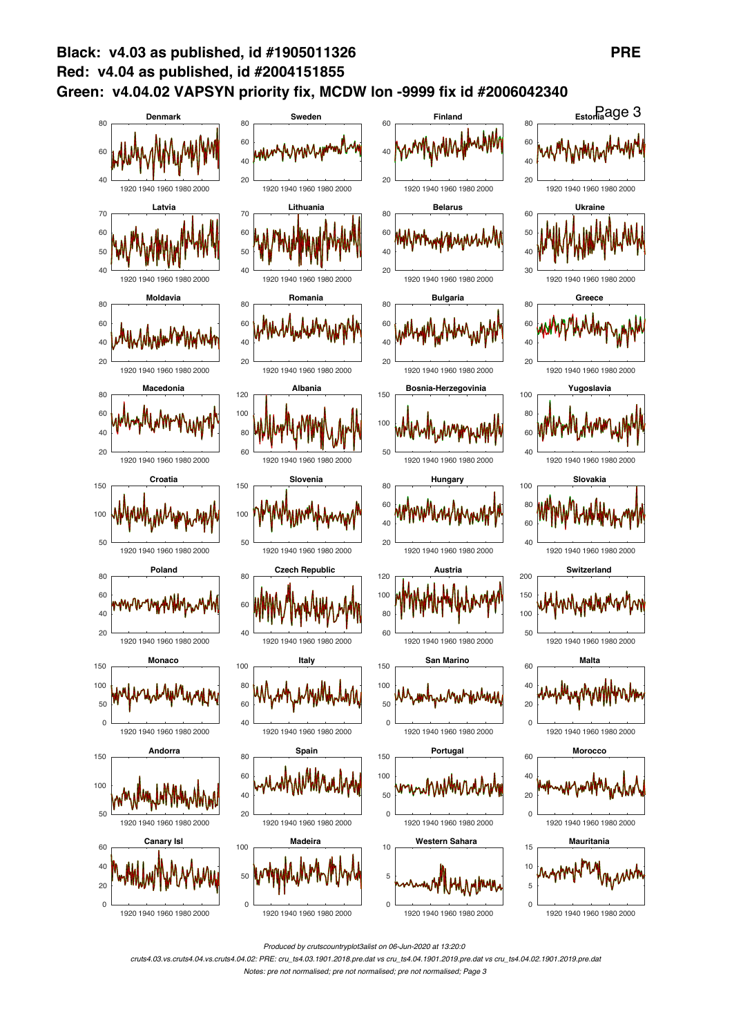

Produced by crutscountryplot3alist on 06-Jun-2020 at 13:20:0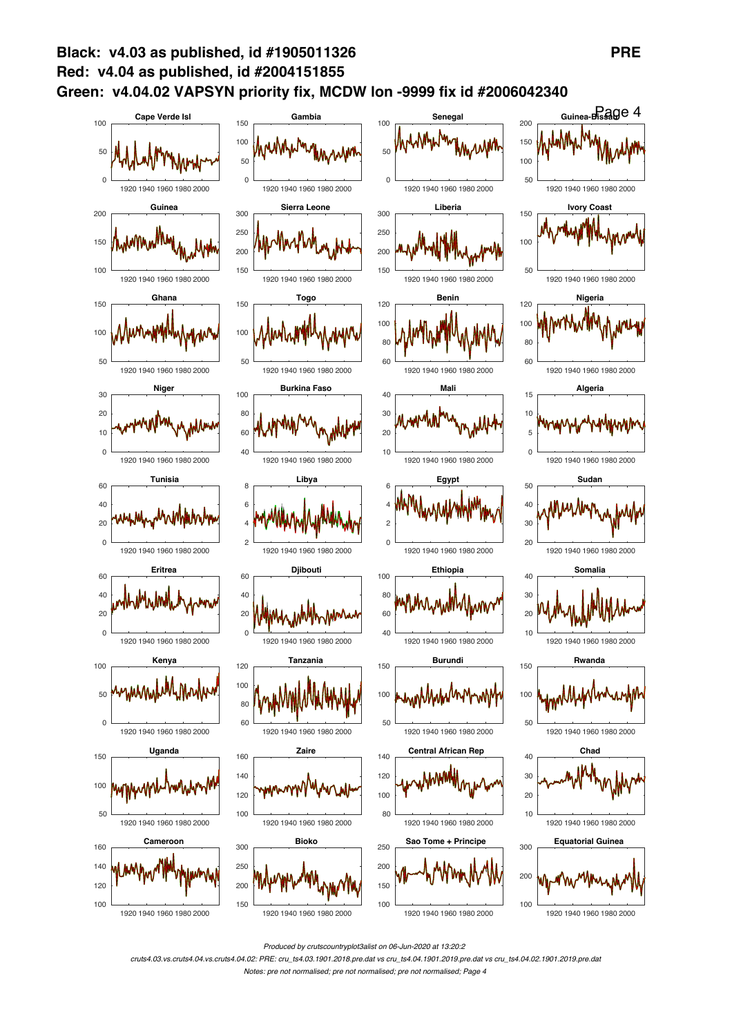

Produced by crutscountryplot3alist on 06-Jun-2020 at 13:20:2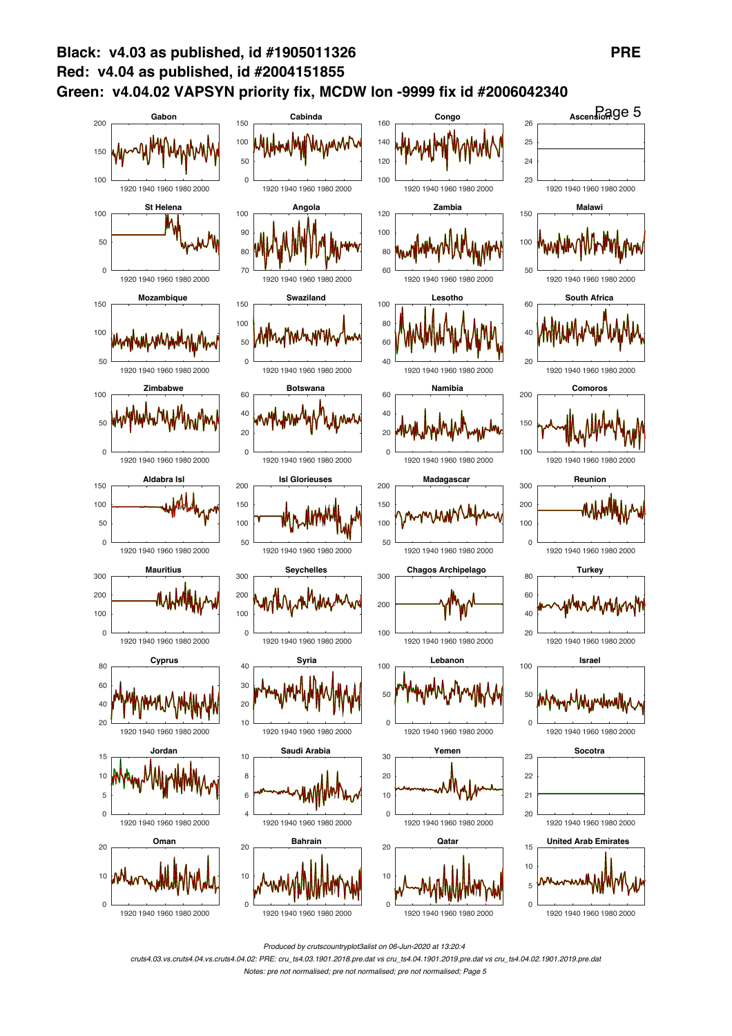

Produced by crutscountryplot3alist on 06-Jun-2020 at 13:20:4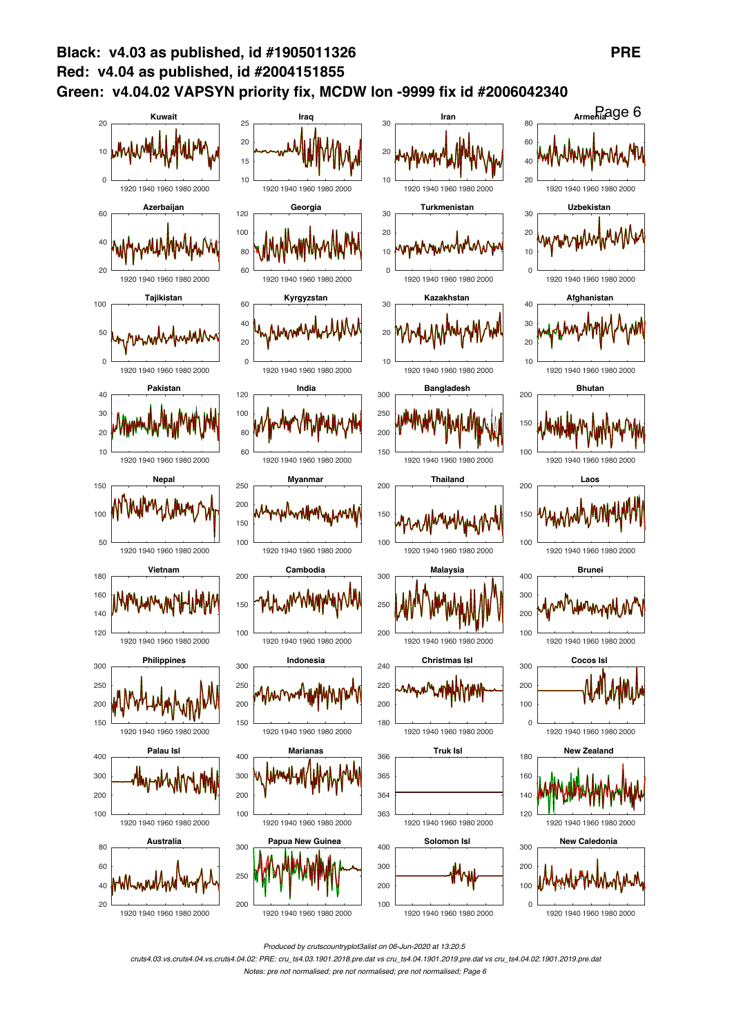

Produced by crutscountryplot3alist on 06-Jun-2020 at 13:20:5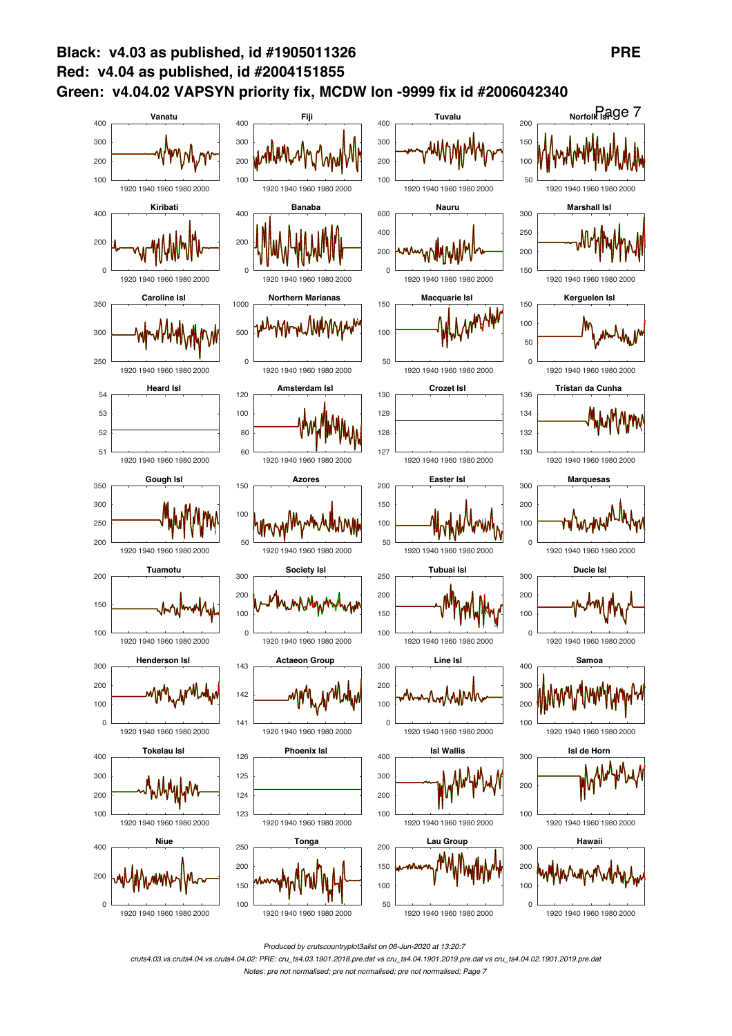

Produced by crutscountryplot3alist on 06-Jun-2020 at 13:20:7